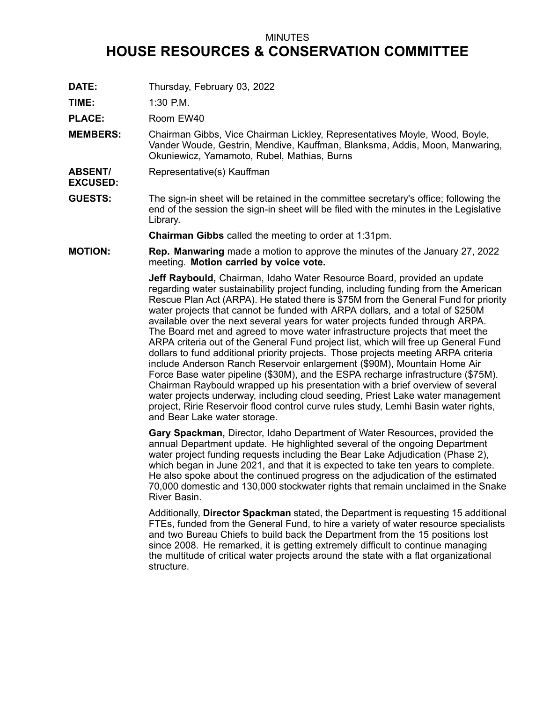## MINUTES

## **HOUSE RESOURCES & CONSERVATION COMMITTEE**

**DATE:** Thursday, February 03, 2022

**TIME:** 1:30 P.M.

PLACE: Room EW40

- **MEMBERS:** Chairman Gibbs, Vice Chairman Lickley, Representatives Moyle, Wood, Boyle, Vander Woude, Gestrin, Mendive, Kauffman, Blanksma, Addis, Moon, Manwaring, Okuniewicz, Yamamoto, Rubel, Mathias, Burns
- **ABSENT/ EXCUSED:** Representative(s) Kauffman
- **GUESTS:** The sign-in sheet will be retained in the committee secretary's office; following the end of the session the sign-in sheet will be filed with the minutes in the Legislative Library.

**Chairman Gibbs** called the meeting to order at 1:31pm.

**MOTION: Rep. Manwaring** made <sup>a</sup> motion to approve the minutes of the January 27, 2022 meeting. **Motion carried by voice vote.**

> **Jeff Raybould,** Chairman, Idaho Water Resource Board, provided an update regarding water sustainability project funding, including funding from the American Rescue Plan Act (ARPA). He stated there is \$75M from the General Fund for priority water projects that cannot be funded with ARPA dollars, and <sup>a</sup> total of \$250M available over the next several years for water projects funded through ARPA. The Board met and agreed to move water infrastructure projects that meet the ARPA criteria out of the General Fund project list, which will free up General Fund dollars to fund additional priority projects. Those projects meeting ARPA criteria include Anderson Ranch Reservoir enlargement (\$90M), Mountain Home Air Force Base water pipeline (\$30M), and the ESPA recharge infrastructure (\$75M). Chairman Raybould wrapped up his presentation with <sup>a</sup> brief overview of several water projects underway, including cloud seeding, Priest Lake water management project, Ririe Reservoir flood control curve rules study, Lemhi Basin water rights, and Bear Lake water storage.

> **Gary Spackman,** Director, Idaho Department of Water Resources, provided the annual Department update. He highlighted several of the ongoing Department water project funding requests including the Bear Lake Adjudication (Phase 2), which began in June 2021, and that it is expected to take ten years to complete. He also spoke about the continued progress on the adjudication of the estimated 70,000 domestic and 130,000 stockwater rights that remain unclaimed in the Snake River Basin.

> Additionally, **Director Spackman** stated, the Department is requesting 15 additional FTEs, funded from the General Fund, to hire <sup>a</sup> variety of water resource specialists and two Bureau Chiefs to build back the Department from the 15 positions lost since 2008. He remarked, it is getting extremely difficult to continue managing the multitude of critical water projects around the state with <sup>a</sup> flat organizational structure.